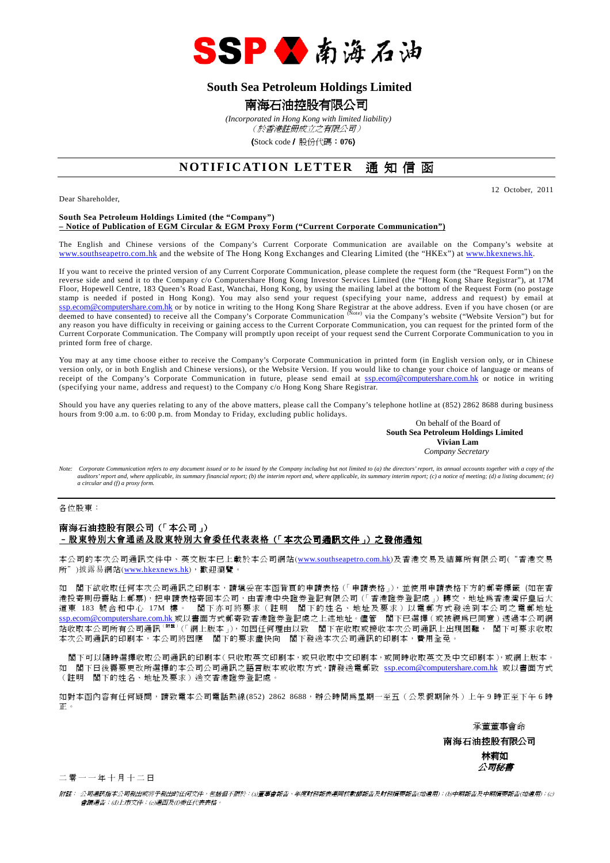

# **South Sea Petroleum Holdings Limited**

# 南海石油控股有限公司

 *(Incorporated in Hong Kong with limited liability)*

(於香港註冊成立之有限公司)

(Stock code/ 股份代碼:**076**)

# **NOTIFICATION LETTER** 涌 知信 函

Dear Shareholder,

12 October, 2011

### **South Sea Petroleum Holdings Limited (the "Company") – Notice of Publication of EGM Circular & EGM Proxy Form ("Current Corporate Communication")**

The English and Chinese versions of the Company's Current Corporate Communication are available on the Company's website at www.southseapetro.com.hk and the website of The Hong Kong Exchanges and Clearing Limited (the "HKEx") at www.hkexnews.hk.

If you want to receive the printed version of any Current Corporate Communication, please complete the request form (the "Request Form") on the reverse side and send it to the Company c/o Computershare Hong Kong Investor Services Limited (the "Hong Kong Share Registrar"), at 17M Floor, Hopewell Centre, 183 Queen's Road East, Wanchai, Hong Kong, by using the mailing label at the bottom of the Request Form (no postage stamp is needed if posted in Hong Kong). You may also send your request (specifying your name, address and request) by email at ssp.ecom@computershare.com.hk or by notice in writing to the Hong Kong Share Registrar at the above address. Even if you have chosen (or are<br>deemed to have consented) to receive all the Company's Corporate Communication <sup>(</sup> any reason you have difficulty in receiving or gaining access to the Current Corporate Communication, you can request for the printed form of the any reason you have difficulty in receiving or gaining access to the Current Current Corporate Communication. The Company will promptly upon receipt of your request send the Current Corporate Communication to you in printed form free of charge.

You may at any time choose either to receive the Company's Corporate Communication in printed form (in English version only, or in Chinese version only, or in both English and Chinese versions), or the Website Version. If you would like to change your choice of language or means of receipt of the Company's Corporate Communication in future, please send email at ssp.ecom@computershare.com.hk or notice in writing (specifying your name, address and request) to the Company c/o Hong Kong Share Registrar.

Should you have any queries relating to any of the above matters, please call the Company's telephone hotline at (852) 2862 8688 during business hours from 9:00 a.m. to 6:00 p.m. from Monday to Friday, excluding public holidays.

On behalf of the Board of  **South Sea Petroleum Holdings Limited Vivian Lam**  *Company Secretary* 

*Note: Corporate Communication refers to any document issued or to be issued by the Company including but not limited to (a) the directors' report, its annual accounts together with a copy of the auditors' report and, where applicable, its summary financial report; (b) the interim report and, where applicable, its summary interim report; (c) a notice of meeting; (d) a listing document; (e) a circular and (f) a proxy form.* 

各位股東:

### 南海石油控股有限公司(「本公司」) –股東特別大會通函及股東特別大會委任代表表格(「本次公司通訊文件」)之發佈通知

本公司的本次公司通訊文件中、英文版本已上載於本公司網站(www.southseapetro.com.hk)及香港交易及結算所有限公司("香港交易 所")披露易網站(www.hkexnews.hk),歡迎瀏覽。

如 閣下欲收取任何本次公司通訊之印刷本,請填妥在本函背頁的申請表格(「申請表格」),並使用申請表格下方的郵寄標籤 (如在香 港投寄則毋需貼上郵票),把申請表格寄回本公司,由香港中央證券登記有限公司(「香港證券登記處」)轉交,地址為香港灣仔皇后大 道東 183 號合和中心 17M 樓。 閣下亦可將要求(註明 閣下的姓名、地址及要求)以電郵方式發送到本公司之電郵地址 ssp.ecom@computershare.com.hk 或以書面方式郵寄致香港證券登記處之上述地址。儘管 閣下已選擇(或被視為已同意)透過本公司網 站收取本公司所有公司通訊( 附 註 )(「網上版本」),如因任何理由以致 閣下在收取或接收本次公司通訊上出現困難, 閣下可要求收取 本次公司通訊的印刷本,本公司將因應 閣下的要求盡快向 閣下發送本次公司通訊的印刷本,費用全免。

 閣下可以隨時選擇收取公司通訊的印刷本(只收取英文印刷本,或只收取中文印刷本,或同時收取英文及中文印刷本),或網上版本。 如 閣下日後需要更改所選擇的本公司公司通訊之語言版本或收取方式,請發送電郵致 ssp.ecom@computershare.com.hk 或以書面方式 (註明 閣下的姓名、地址及要求)送交香港證券登記處。

如對本函內容有任何疑問,請致電本公司電話熱線(852) 2862 8688,辦公時間為星期一至五(公眾假期除外)上午 9 時正至下午 6 時 正。

承董董事會命

 南海石油控股有限公司 林莉如 公司秘書

二 零 一 一 年 十 月 十 二 日

附註: 公司通訊指本公司發出或將予發出的任何文件,包括但不限於:(a)董事會報告、年度財務報表連同核數師報告及財務摘要報告(如適用);(b)中期報告及中期摘要報告(如適用);(c) 會議通告;(d)上市文件;(e)通函及(f)委任代表表格。